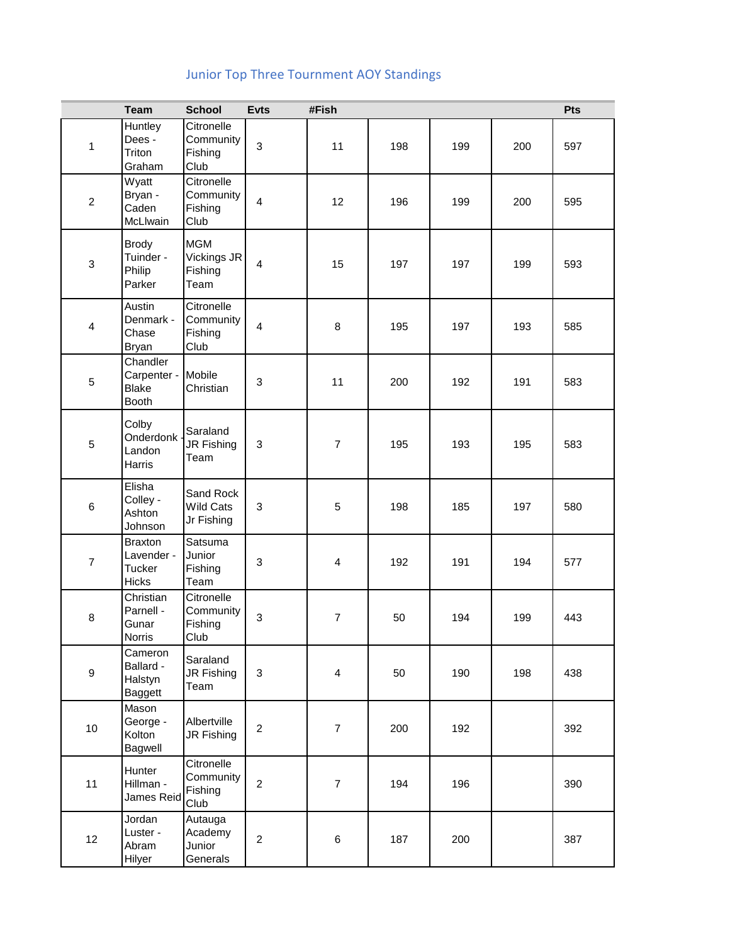## Junior Top Three Tournment AOY Standings

|                  | <b>Team</b>                                             | <b>School</b>                                | <b>Evts</b>               | #Fish          |     |     |     | Pts |
|------------------|---------------------------------------------------------|----------------------------------------------|---------------------------|----------------|-----|-----|-----|-----|
| 1                | Huntley<br>Dees -<br>Triton<br>Graham                   | Citronelle<br>Community<br>Fishing<br>Club   | $\mathbf{3}$              | 11             | 198 | 199 | 200 | 597 |
| $\overline{c}$   | Wyatt<br>Bryan -<br>Caden<br>McLlwain                   | Citronelle<br>Community<br>Fishing<br>Club   | $\overline{4}$            | 12             | 196 | 199 | 200 | 595 |
| 3                | <b>Brody</b><br>Tuinder -<br>Philip<br>Parker           | <b>MGM</b><br>Vickings JR<br>Fishing<br>Team | $\overline{4}$            | 15             | 197 | 197 | 199 | 593 |
| 4                | Austin<br>Denmark -<br>Chase<br><b>Bryan</b>            | Citronelle<br>Community<br>Fishing<br>Club   | $\overline{\mathbf{4}}$   | 8              | 195 | 197 | 193 | 585 |
| $\mathbf 5$      | Chandler<br>Carpenter -<br><b>Blake</b><br><b>Booth</b> | Mobile<br>Christian                          | $\mathbf{3}$              | 11             | 200 | 192 | 191 | 583 |
| 5                | Colby<br>Onderdonk -<br>Landon<br>Harris                | Saraland<br>JR Fishing<br>Team               | $\mathbf{3}$              | $\overline{7}$ | 195 | 193 | 195 | 583 |
| $\,6$            | Elisha<br>Colley -<br>Ashton<br>Johnson                 | Sand Rock<br><b>Wild Cats</b><br>Jr Fishing  | $\ensuremath{\mathsf{3}}$ | $\sqrt{5}$     | 198 | 185 | 197 | 580 |
| $\overline{7}$   | <b>Braxton</b><br>Lavender -<br>Tucker<br>Hicks         | Satsuma<br>Junior<br>Fishing<br>Team         | $\mathbf{3}$              | $\overline{4}$ | 192 | 191 | 194 | 577 |
| 8                | Christian<br>Parnell -<br>Gunar<br>Norris               | Citronelle<br>Community<br>Fishing<br>Club   | $\mathbf{3}$              | $\overline{7}$ | 50  | 194 | 199 | 443 |
| $\boldsymbol{9}$ | Cameron<br>Ballard -<br>Halstyn<br><b>Baggett</b>       | Saraland<br>JR Fishing<br>Team               | $\mathbf{3}$              | $\overline{4}$ | 50  | 190 | 198 | 438 |
| 10               | Mason<br>George -<br>Kolton<br>Bagwell                  | Albertville<br>JR Fishing                    | $\boldsymbol{2}$          | $\overline{7}$ | 200 | 192 |     | 392 |
| 11               | Hunter<br>Hillman -<br>James Reid                       | Citronelle<br>Community<br>Fishing<br>Club   | $\overline{c}$            | $\overline{7}$ | 194 | 196 |     | 390 |
| 12               | Jordan<br>Luster -<br>Abram<br>Hilyer                   | Autauga<br>Academy<br>Junior<br>Generals     | $\overline{c}$            | 6              | 187 | 200 |     | 387 |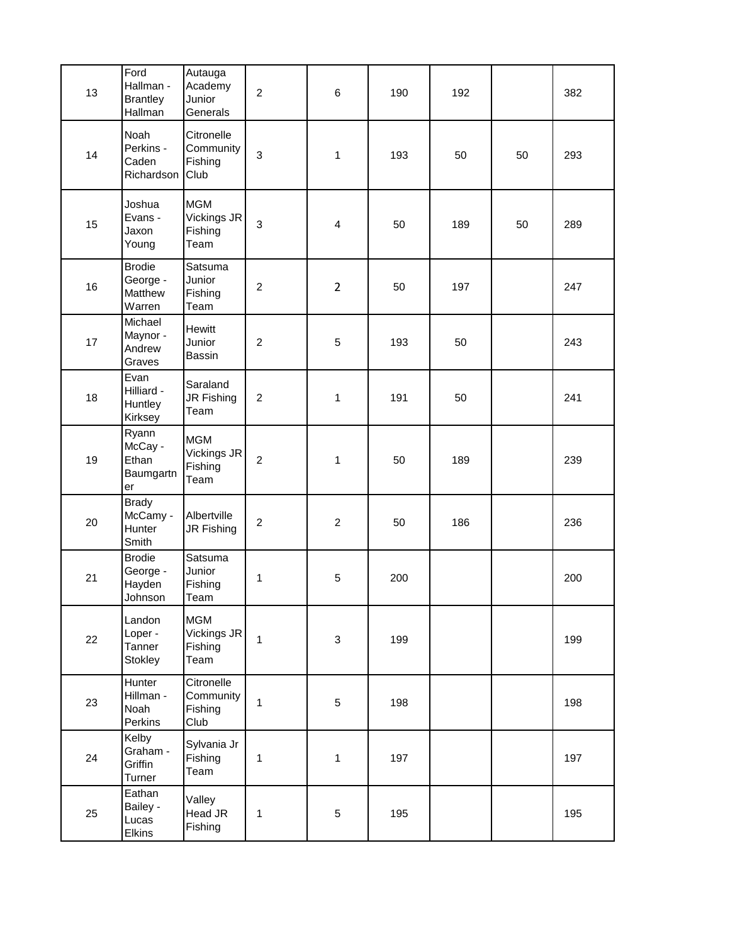| 13 | Ford<br>Hallman -<br><b>Brantley</b><br>Hallman | Autauga<br>Academy<br>Junior<br>Generals     | $\overline{c}$ | $6\phantom{1}6$ | 190 | 192 |    | 382 |
|----|-------------------------------------------------|----------------------------------------------|----------------|-----------------|-----|-----|----|-----|
| 14 | Noah<br>Perkins -<br>Caden<br>Richardson        | Citronelle<br>Community<br>Fishing<br>Club   | $\mathbf{3}$   | 1               | 193 | 50  | 50 | 293 |
| 15 | Joshua<br>Evans -<br>Jaxon<br>Young             | <b>MGM</b><br>Vickings JR<br>Fishing<br>Team | $\mathbf{3}$   | $\overline{4}$  | 50  | 189 | 50 | 289 |
| 16 | <b>Brodie</b><br>George -<br>Matthew<br>Warren  | Satsuma<br>Junior<br>Fishing<br>Team         | $\overline{2}$ | $\overline{2}$  | 50  | 197 |    | 247 |
| 17 | Michael<br>Maynor -<br>Andrew<br>Graves         | Hewitt<br>Junior<br>Bassin                   | $\overline{c}$ | 5               | 193 | 50  |    | 243 |
| 18 | Evan<br>Hilliard -<br>Huntley<br>Kirksey        | Saraland<br>JR Fishing<br>Team               | $\overline{c}$ | 1               | 191 | 50  |    | 241 |
| 19 | Ryann<br>McCay -<br>Ethan<br>Baumgartn<br>er    | <b>MGM</b><br>Vickings JR<br>Fishing<br>Team | $\overline{c}$ | 1               | 50  | 189 |    | 239 |
| 20 | <b>Brady</b><br>McCamy -<br>Hunter<br>Smith     | Albertville<br>JR Fishing                    | $\overline{c}$ | $\overline{c}$  | 50  | 186 |    | 236 |
| 21 | <b>Brodie</b><br>George -<br>Hayden<br>Johnson  | Satsuma<br>Junior<br>Fishing<br>Team         | 1              | 5               | 200 |     |    | 200 |
| 22 | Landon<br>Loper -<br>Tanner<br>Stokley          | <b>MGM</b><br>Vickings JR<br>Fishing<br>Team | $\mathbf{1}$   | $\mathbf{3}$    | 199 |     |    | 199 |
| 23 | Hunter<br>Hillman -<br>Noah<br>Perkins          | Citronelle<br>Community<br>Fishing<br>Club   | $\mathbf{1}$   | $\sqrt{5}$      | 198 |     |    | 198 |
| 24 | Kelby<br>Graham -<br>Griffin<br>Turner          | Sylvania Jr<br>Fishing<br>Team               | $\mathbf{1}$   | $\mathbf{1}$    | 197 |     |    | 197 |
| 25 | Eathan<br>Bailey -<br>Lucas<br>Elkins           | Valley<br>Head JR<br>Fishing                 | 1              | $\sqrt{5}$      | 195 |     |    | 195 |